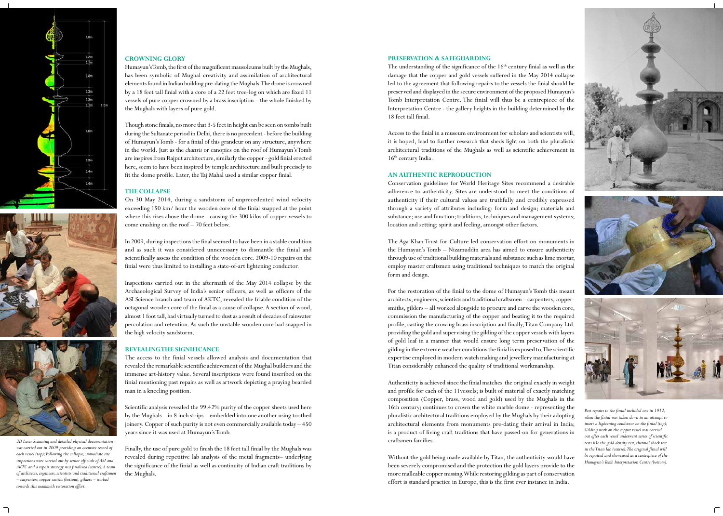#### **CROWNING GLORY**

Humayun's Tomb, the first of the magnificent mausoleums built by the Mughals, has been symbolic of Mughal creativity and assimilation of architectural elements found in Indian building pre-dating the Mughals. The dome is crowned by a 18 feet tall finial with a core of a 22 feet tree-log on which are fixed 11 vessels of pure copper crowned by a brass inscription – the whole finished by the Mughals with layers of pure gold.

Though stone finials, no more that 3-5 feet in height can be seen on tombs built during the Sultanate period in Delhi, there is no precedent - before the building of Humayun's Tomb - for a finial of this grandeur on any structure, anywhere in the world. Just as the *chattris* or canopies on the roof of Humayun's Tomb are inspires from Rajput architecture, similarly the copper - gold finial erected here, seem to have been inspired by temple architecture and built precisely to fit the dome profile. Later, the Taj Mahal used a similar copper finial.

### **THE COLLAPSE**

On 30 May 2014, during a sandstorm of unprecedented wind velocity exceeding 150 km/ hour the wooden core of the finial snapped at the point where this rises above the dome - causing the 300 kilos of copper vessels to come crashing on the roof – 70 feet below.

In 2009, during inspections the final seemed to have been in a stable condition and as such it was considered unnecessary to dismantle the finial and scientifically assess the condition of the wooden core. 2009-10 repairs on the finial were thus limited to installing a state-of-art lightening conductor.

The understanding of the significance of the  $16<sup>th</sup>$  century finial as well as the damage that the copper and gold vessels suffered in the May 2014 collapse led to the agreement that following repairs to the vessels the finial should be preserved and displayed in the secure environment of the proposed Humayun's Tomb Interpretation Centre. The finial will thus be a centrepiece of the Interpretation Centre - the gallery heights in the building determined by the 18 feet tall finial.

Access to the finial in a museum environment for scholars and scientists will, it is hoped, lead to further research that sheds light on both the pluralistic architectural traditions of the Mughals as well as scientific achievement in  $16<sup>th</sup>$  century India.

Inspections carried out in the aftermath of the May 2014 collapse by the Archaeological Survey of India's senior officers, as well as officers of the ASI Science branch and team of AKTC, revealed the friable condition of the octagonal wooden core of the finial as a cause of collapse. A section of wood, almost 1 foot tall, had virtually turned to dust as a result of decades of rainwater percolation and retention. As such the unstable wooden core had snapped in the high velocity sandstorm.

#### **REVEALING THE SIGNIFICANCE**

The access to the finial vessels allowed analysis and documentation that revealed the remarkable scientific achievement of the Mughal builders and the immense art-history value. Several inscriptions were found inscribed on the finial mentioning past repairs as well as artwork depicting a praying bearded man in a kneeling position.

Scientific analysis revealed the 99.42% purity of the copper sheets used here by the Mughals – in 8 inch strips – embedded into one another using toothed joinery. Copper of such purity is not even commercially available today – 450 years since it was used at Humayun's Tomb.

Finally, the use of pure gold to finish the 18 feet tall finial by the Mughals was revealed during repetitive lab analysis of the metal fragments– underlying the significance of the finial as well as continuity of Indian craft traditions by the Mughals.

#### **PRESERVATION & SAFEGUARDING**

#### **AN AUTHENTIC REPRODUCTION**

Conservation guidelines for World Heritage Sites recommend a desirable adherence to authenticity. Sites are understood to meet the conditions of authenticity if their cultural values are truthfully and credibly expressed through a variety of attributes including: form and design; materials and substance; use and function; traditions, techniques and management systems; location and setting; spirit and feeling, amongst other factors.

The Aga Khan Trust for Culture led conservation effort on monuments in the Humayun's Tomb – Nizamuddin area has aimed to ensure authenticity through use of traditional building materials and substance such as lime mortar, employ master craftsmen using traditional techniques to match the original form and design.

For the restoration of the finial to the dome of Humayun's Tomb this meant architects, engineers, scientists and traditional craftsmen – carpenters, coppersmiths, gilders – all worked alongside to procure and carve the wooden core, commission the manufacturing of the copper and beating it to the required profile, casting the crowing brass inscription and finally, Titan Company Ltd. providing the gold and supervising the gilding of the copper vessels with layers of gold leaf in a manner that would ensure long term preservation of the gilding in the extreme weather conditions the finial is exposed to. The scientific expertise employed in modern watch making and jewellery manufacturing at Titan considerably enhanced the quality of traditional workmanship.

Authenticity is achieved since the finial matches the original exactly in weight and profile for each of the 11vessels; is built of material of exactly matching composition (Copper, brass, wood and gold) used by the Mughals in the 16th century; continues to crown the white marble dome - representing the pluralistic architectural traditions employed by the Mughals by their adopting architectural elements from monuments pre-dating their arrival in India; is a product of living craft traditions that have passed-on for generations in craftsmen families.

Without the gold being made available by Titan, the authenticity would have been severely compromised and the protection the gold layers provide to the more malleable copper missing. While restoring gilding as part of conservation effort is standard practice in Europe, this is the first ever instance in India.









*3D Laser Scanning and detailed physical documentation was carried out in 2009 providing an accurate record of each vessel (top); Following the collapse, immediate site inspections were carried out by senior officials of ASI and AKTC and a repair strategy was finalized (centre); A team of architects, engineers, scientists and traditional craftsmen – carpenters, copper-smiths (bottom), gilders – worked towards this mammoth restoration effort.* 

*Past repairs to the finial included one in 1912, when the finial was taken down in an attempt to insert a lightening conductor on the finial (top); Gilding work on the copper vessel was carried out after each vessel underwent series of scientific tests like the gold density test, thermal shock test in the Titan lab (centre); The original finial will be repaired and showcased as a centrepiece of the Humayun's Tomb Interpretation Centre (bottom).*